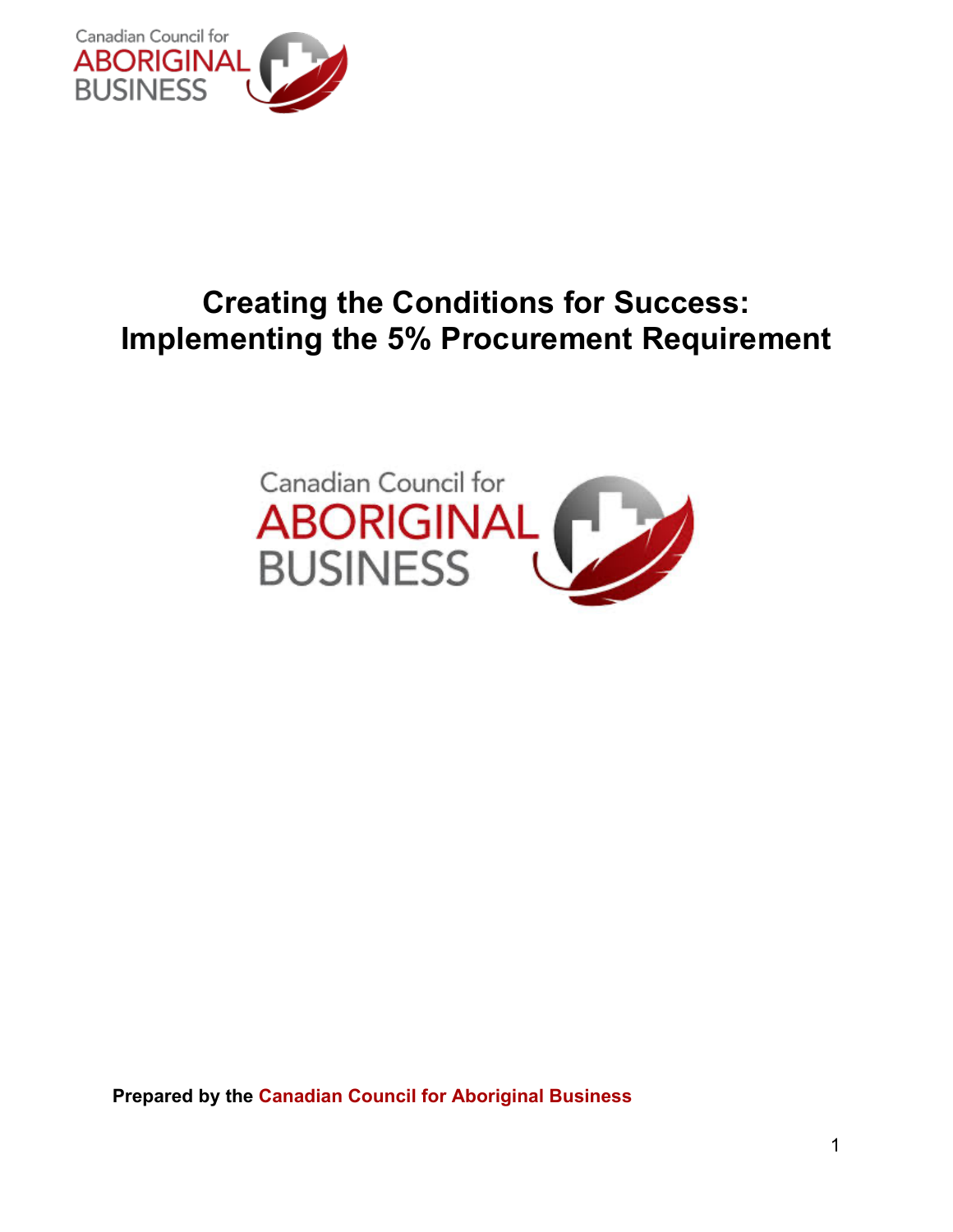

# **Creating the Conditions for Success: Implementing the 5% Procurement Requirement**



**Prepared by the Canadian Council for Aboriginal Business**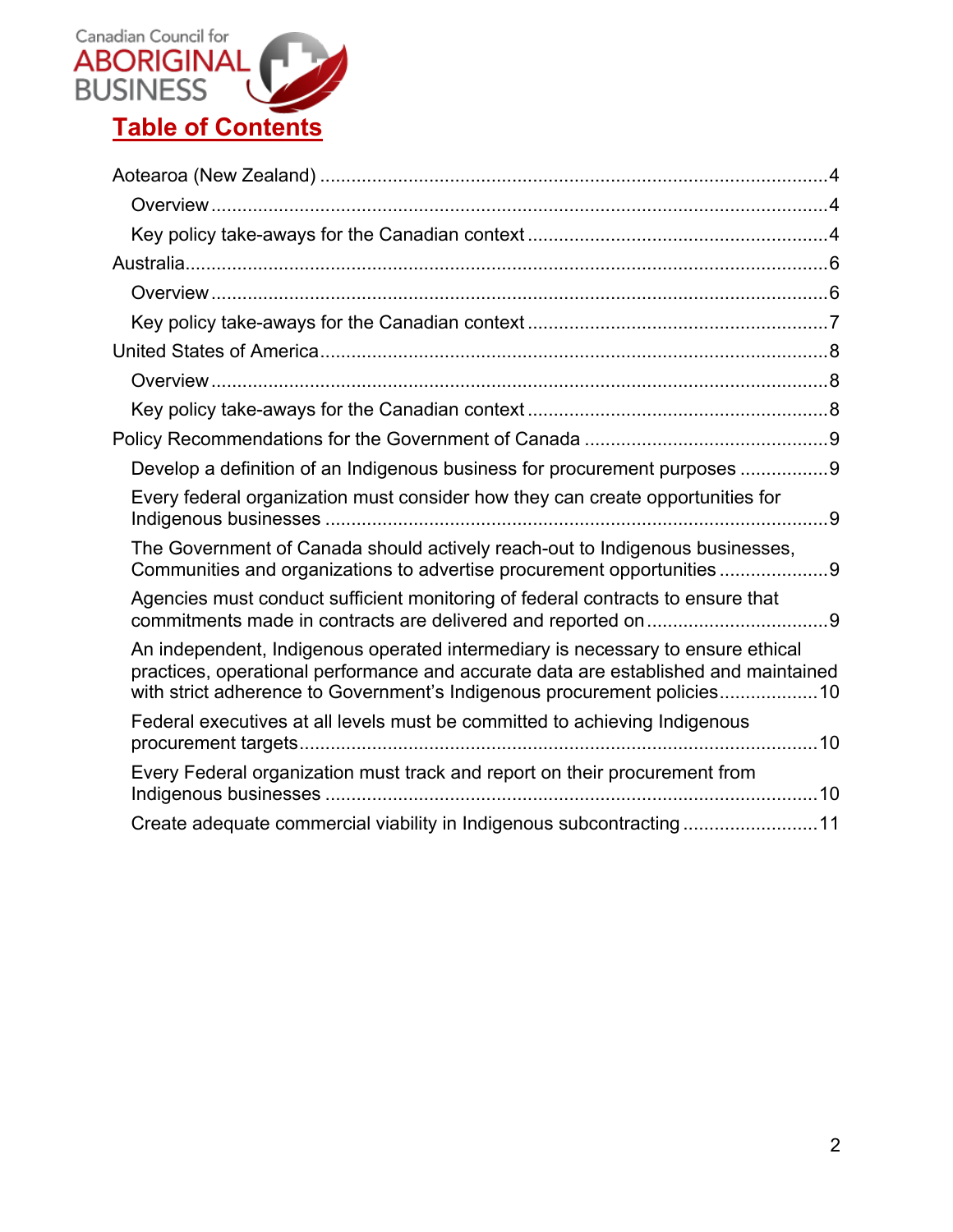

| Develop a definition of an Indigenous business for procurement purposes 9                                                                                                                                                                          |  |
|----------------------------------------------------------------------------------------------------------------------------------------------------------------------------------------------------------------------------------------------------|--|
| Every federal organization must consider how they can create opportunities for                                                                                                                                                                     |  |
| The Government of Canada should actively reach-out to Indigenous businesses,<br>Communities and organizations to advertise procurement opportunities9                                                                                              |  |
| Agencies must conduct sufficient monitoring of federal contracts to ensure that                                                                                                                                                                    |  |
| An independent, Indigenous operated intermediary is necessary to ensure ethical<br>practices, operational performance and accurate data are established and maintained<br>with strict adherence to Government's Indigenous procurement policies 10 |  |
| Federal executives at all levels must be committed to achieving Indigenous                                                                                                                                                                         |  |
| Every Federal organization must track and report on their procurement from                                                                                                                                                                         |  |
| Create adequate commercial viability in Indigenous subcontracting11                                                                                                                                                                                |  |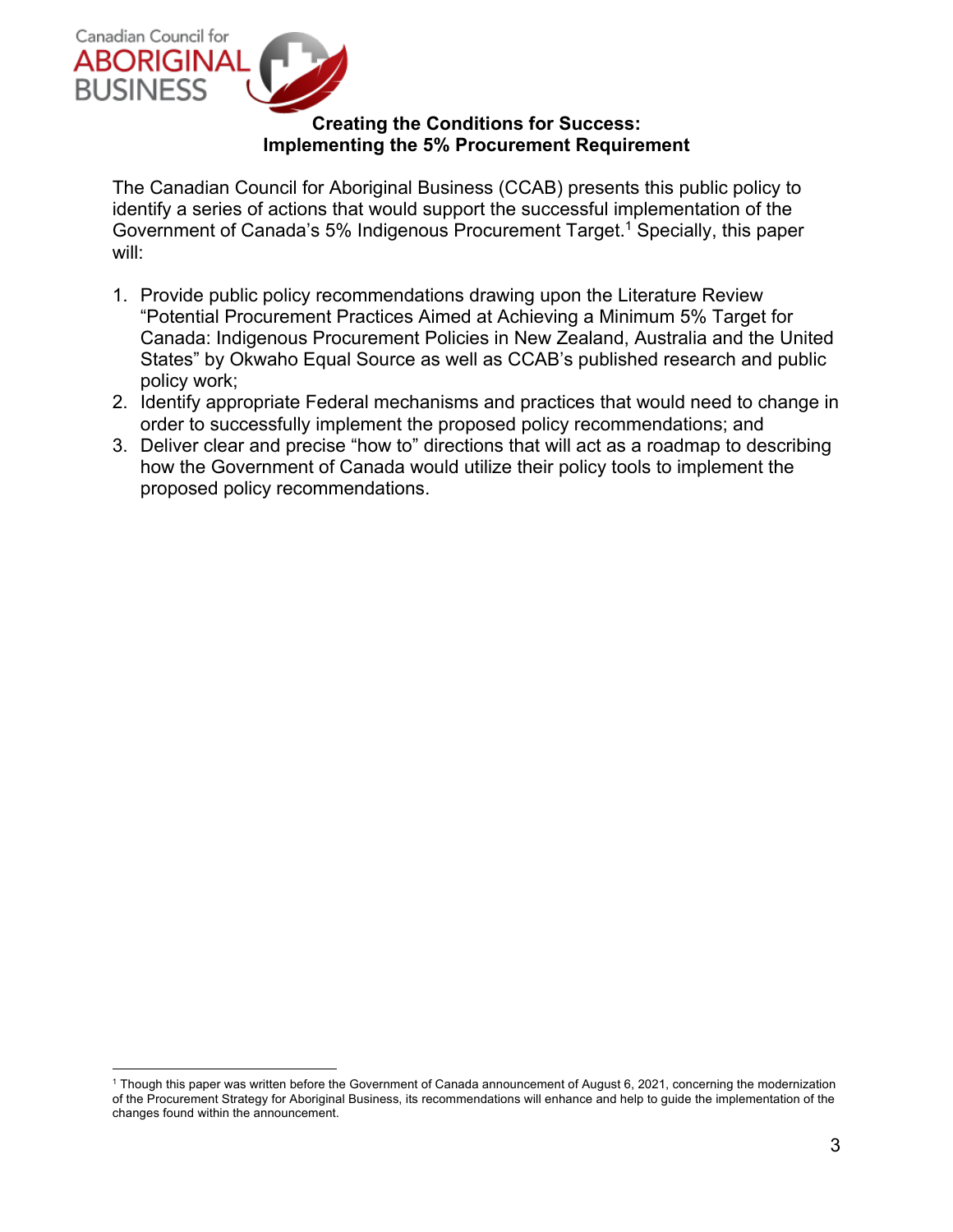

#### **Creating the Conditions for Success: Implementing the 5% Procurement Requirement**

The Canadian Council for Aboriginal Business (CCAB) presents this public policy to identify a series of actions that would support the successful implementation of the Government of Canada's 5% Indigenous Procurement Target. <sup>1</sup> Specially, this paper will:

- 1. Provide public policy recommendations drawing upon the Literature Review "Potential Procurement Practices Aimed at Achieving a Minimum 5% Target for Canada: Indigenous Procurement Policies in New Zealand, Australia and the United States" by Okwaho Equal Source as well as CCAB's published research and public policy work;
- 2. Identify appropriate Federal mechanisms and practices that would need to change in order to successfully implement the proposed policy recommendations; and
- 3. Deliver clear and precise "how to" directions that will act as a roadmap to describing how the Government of Canada would utilize their policy tools to implement the proposed policy recommendations.

<sup>1</sup> Though this paper was written before the Government of Canada announcement of August 6, 2021, concerning the modernization of the Procurement Strategy for Aboriginal Business, its recommendations will enhance and help to guide the implementation of the changes found within the announcement.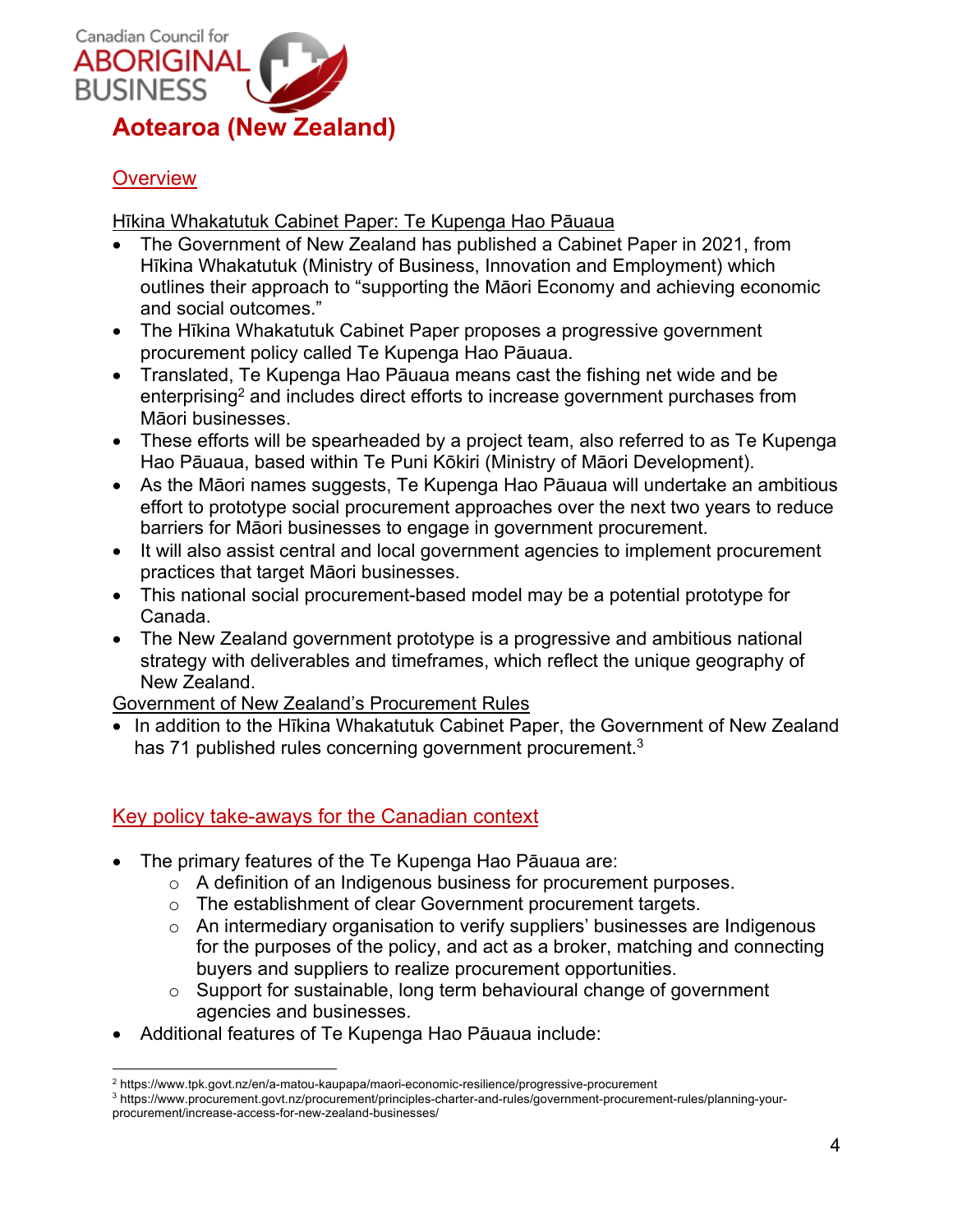

# **Overview**

Hīkina Whakatutuk Cabinet Paper: Te Kupenga Hao Pāuaua

- The Government of New Zealand has published a Cabinet Paper in 2021, from Hīkina Whakatutuk (Ministry of Business, Innovation and Employment) which outlines their approach to "supporting the Māori Economy and achieving economic and social outcomes."
- The Hīkina Whakatutuk Cabinet Paper proposes a progressive government procurement policy called Te Kupenga Hao Pāuaua.
- Translated, Te Kupenga Hao Pāuaua means cast the fishing net wide and be enterprising<sup>2</sup> and includes direct efforts to increase government purchases from Māori businesses.
- These efforts will be spearheaded by a project team, also referred to as Te Kupenga Hao Pāuaua, based within Te Puni Kōkiri (Ministry of Māori Development).
- As the Māori names suggests, Te Kupenga Hao Pāuaua will undertake an ambitious effort to prototype social procurement approaches over the next two years to reduce barriers for Māori businesses to engage in government procurement.
- It will also assist central and local government agencies to implement procurement practices that target Māori businesses.
- This national social procurement-based model may be a potential prototype for Canada.
- The New Zealand government prototype is a progressive and ambitious national strategy with deliverables and timeframes, which reflect the unique geography of New Zealand.

Government of New Zealand's Procurement Rules

• In addition to the Hīkina Whakatutuk Cabinet Paper, the Government of New Zealand has 71 published rules concerning government procurement.<sup>3</sup>

## Key policy take-aways for the Canadian context

- The primary features of the Te Kupenga Hao Pāuaua are:
	- o A definition of an Indigenous business for procurement purposes.
	- o The establishment of clear Government procurement targets.
	- o An intermediary organisation to verify suppliers' businesses are Indigenous for the purposes of the policy, and act as a broker, matching and connecting buyers and suppliers to realize procurement opportunities.
	- o Support for sustainable, long term behavioural change of government agencies and businesses.
- Additional features of Te Kupenga Hao Pāuaua include:

<sup>2</sup> https://www.tpk.govt.nz/en/a-matou-kaupapa/maori-economic-resilience/progressive-procurement

<sup>3</sup> https://www.procurement.govt.nz/procurement/principles-charter-and-rules/government-procurement-rules/planning-yourprocurement/increase-access-for-new-zealand-businesses/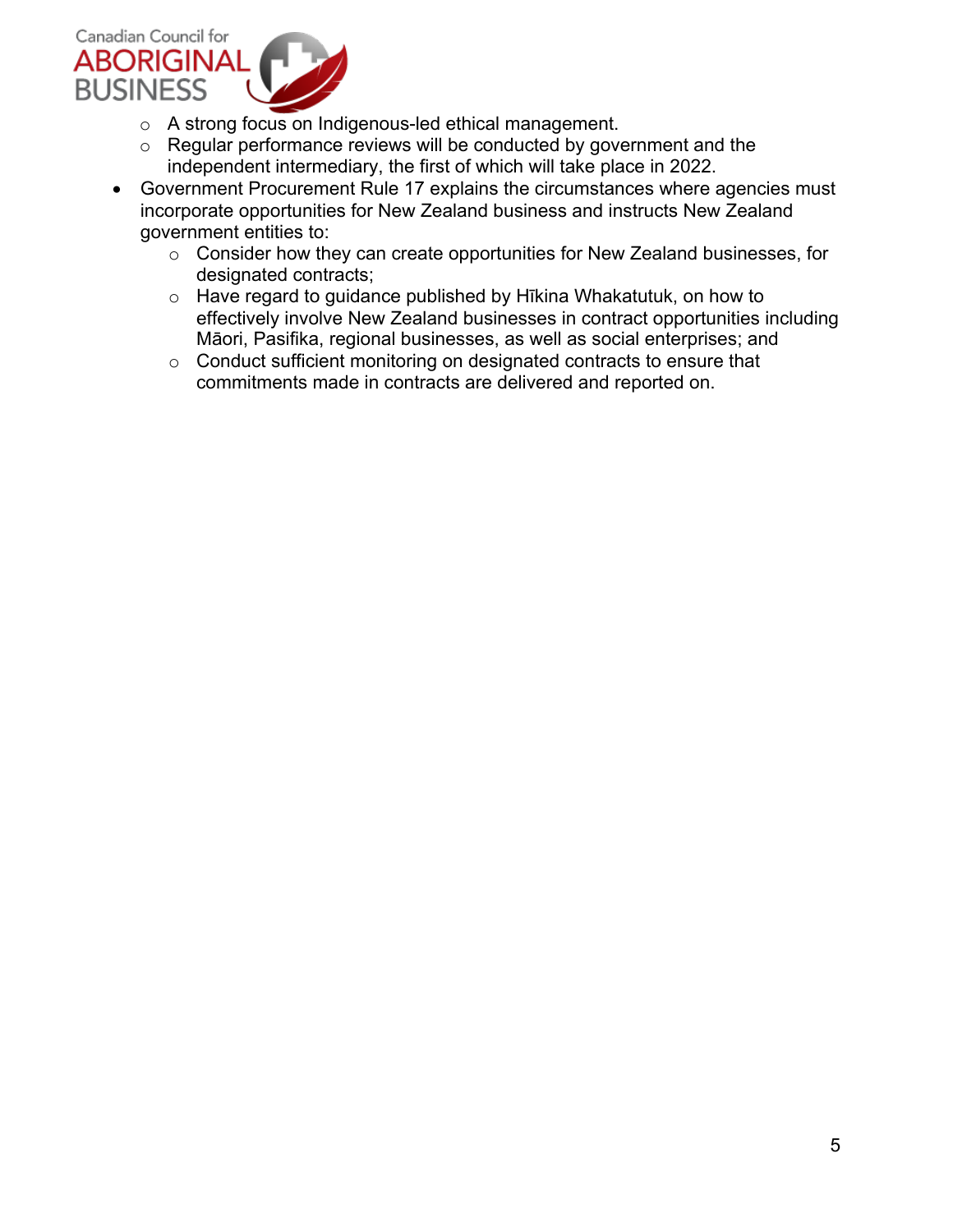

- o A strong focus on Indigenous-led ethical management.
- $\circ$  Regular performance reviews will be conducted by government and the independent intermediary, the first of which will take place in 2022.
- Government Procurement Rule 17 explains the circumstances where agencies must incorporate opportunities for New Zealand business and instructs New Zealand government entities to:
	- o Consider how they can create opportunities for New Zealand businesses, for designated contracts;
	- o Have regard to guidance published by Hīkina Whakatutuk, on how to effectively involve New Zealand businesses in contract opportunities including Māori, Pasifika, regional businesses, as well as social enterprises; and
	- o Conduct sufficient monitoring on designated contracts to ensure that commitments made in contracts are delivered and reported on.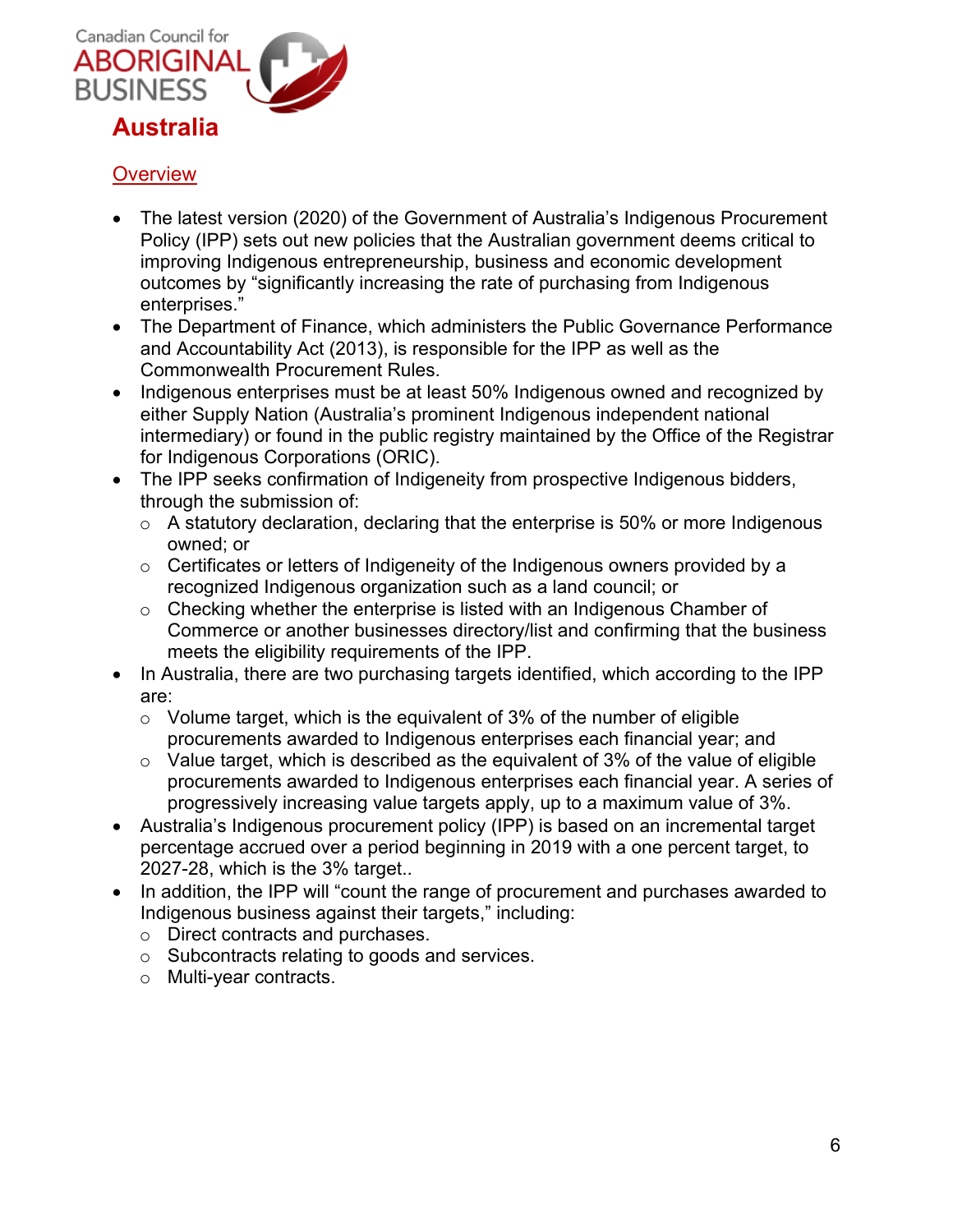

# **Overview**

- The latest version (2020) of the Government of Australia's Indigenous Procurement Policy (IPP) sets out new policies that the Australian government deems critical to improving Indigenous entrepreneurship, business and economic development outcomes by "significantly increasing the rate of purchasing from Indigenous enterprises."
- The Department of Finance, which administers the Public Governance Performance and Accountability Act (2013), is responsible for the IPP as well as the Commonwealth Procurement Rules.
- Indigenous enterprises must be at least 50% Indigenous owned and recognized by either Supply Nation (Australia's prominent Indigenous independent national intermediary) or found in the public registry maintained by the Office of the Registrar for Indigenous Corporations (ORIC).
- The IPP seeks confirmation of Indigeneity from prospective Indigenous bidders, through the submission of:
	- $\circ$  A statutory declaration, declaring that the enterprise is 50% or more Indigenous owned; or
	- $\circ$  Certificates or letters of Indigeneity of the Indigenous owners provided by a recognized Indigenous organization such as a land council; or
	- $\circ$  Checking whether the enterprise is listed with an Indigenous Chamber of Commerce or another businesses directory/list and confirming that the business meets the eligibility requirements of the IPP.
- In Australia, there are two purchasing targets identified, which according to the IPP are:
	- $\circ$  Volume target, which is the equivalent of 3% of the number of eligible procurements awarded to Indigenous enterprises each financial year; and
	- $\circ$  Value target, which is described as the equivalent of 3% of the value of eligible procurements awarded to Indigenous enterprises each financial year. A series of progressively increasing value targets apply, up to a maximum value of 3%.
- Australia's Indigenous procurement policy (IPP) is based on an incremental target percentage accrued over a period beginning in 2019 with a one percent target, to 2027-28, which is the 3% target..
- In addition, the IPP will "count the range of procurement and purchases awarded to Indigenous business against their targets," including:
	- o Direct contracts and purchases.
	- o Subcontracts relating to goods and services.
	- o Multi-year contracts.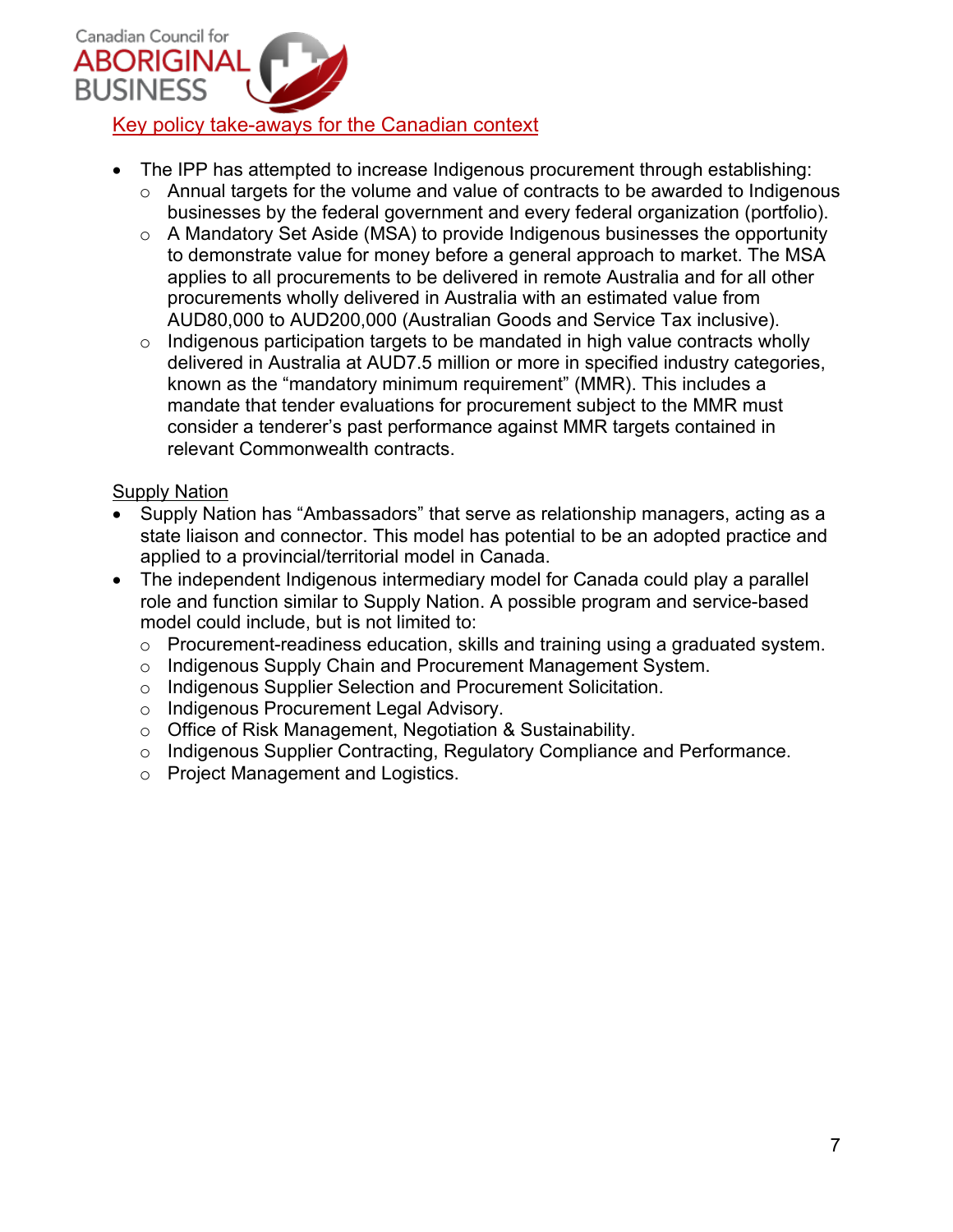

- The IPP has attempted to increase Indigenous procurement through establishing:
	- o Annual targets for the volume and value of contracts to be awarded to Indigenous businesses by the federal government and every federal organization (portfolio).
	- o A Mandatory Set Aside (MSA) to provide Indigenous businesses the opportunity to demonstrate value for money before a general approach to market. The MSA applies to all procurements to be delivered in remote Australia and for all other procurements wholly delivered in Australia with an estimated value from AUD80,000 to AUD200,000 (Australian Goods and Service Tax inclusive).
	- o Indigenous participation targets to be mandated in high value contracts wholly delivered in Australia at AUD7.5 million or more in specified industry categories, known as the "mandatory minimum requirement" (MMR). This includes a mandate that tender evaluations for procurement subject to the MMR must consider a tenderer's past performance against MMR targets contained in relevant Commonwealth contracts.

#### **Supply Nation**

- Supply Nation has "Ambassadors" that serve as relationship managers, acting as a state liaison and connector. This model has potential to be an adopted practice and applied to a provincial/territorial model in Canada.
- The independent Indigenous intermediary model for Canada could play a parallel role and function similar to Supply Nation. A possible program and service-based model could include, but is not limited to:
	- o Procurement-readiness education, skills and training using a graduated system.
	- o Indigenous Supply Chain and Procurement Management System.
	- o Indigenous Supplier Selection and Procurement Solicitation.
	- o Indigenous Procurement Legal Advisory.
	- o Office of Risk Management, Negotiation & Sustainability.
	- o Indigenous Supplier Contracting, Regulatory Compliance and Performance.
	- o Project Management and Logistics.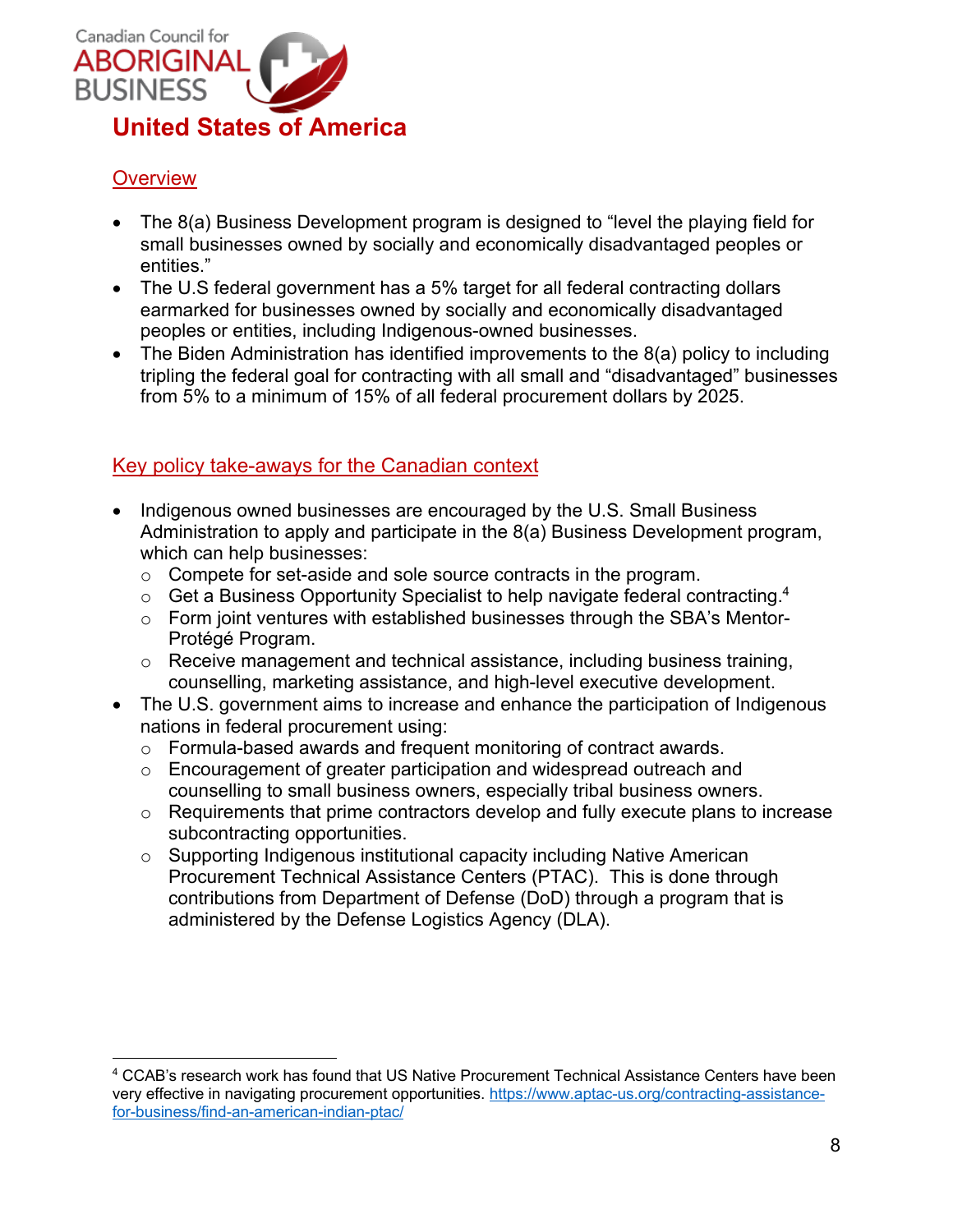

# **Overview**

- The 8(a) Business Development program is designed to "level the playing field for small businesses owned by socially and economically disadvantaged peoples or entities."
- The U.S federal government has a 5% target for all federal contracting dollars earmarked for businesses owned by socially and economically disadvantaged peoples or entities, including Indigenous-owned businesses.
- The Biden Administration has identified improvements to the 8(a) policy to including tripling the federal goal for contracting with all small and "disadvantaged" businesses from 5% to a minimum of 15% of all federal procurement dollars by 2025.

## Key policy take-aways for the Canadian context

- Indigenous owned businesses are encouraged by the U.S. Small Business Administration to apply and participate in the 8(a) Business Development program, which can help businesses:
	- o Compete for set-aside and sole source contracts in the program.
	- $\circ$  Get a Business Opportunity Specialist to help navigate federal contracting.<sup>4</sup>
	- o Form joint ventures with established businesses through the SBA's Mentor-Protégé Program.
	- o Receive management and technical assistance, including business training, counselling, marketing assistance, and high-level executive development.
- The U.S. government aims to increase and enhance the participation of Indigenous nations in federal procurement using:
	- o Formula-based awards and frequent monitoring of contract awards.
	- o Encouragement of greater participation and widespread outreach and counselling to small business owners, especially tribal business owners.
	- o Requirements that prime contractors develop and fully execute plans to increase subcontracting opportunities.
	- o Supporting Indigenous institutional capacity including Native American Procurement Technical Assistance Centers (PTAC). This is done through contributions from Department of Defense (DoD) through a program that is administered by the Defense Logistics Agency (DLA).

<sup>4</sup> CCAB's research work has found that US Native Procurement Technical Assistance Centers have been very effective in navigating procurement opportunities. https://www.aptac-us.org/contracting-assistancefor-business/find-an-american-indian-ptac/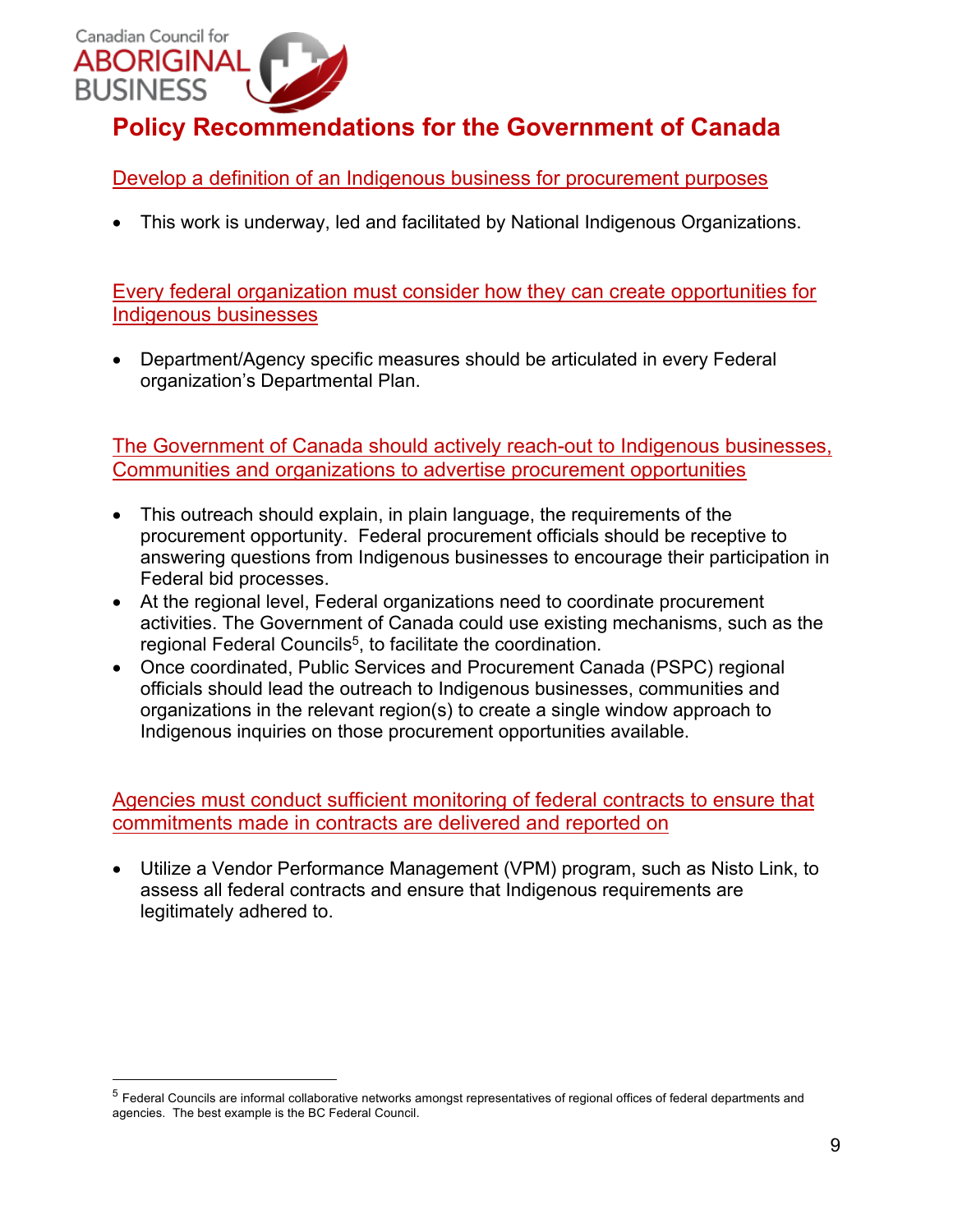

Develop a definition of an Indigenous business for procurement purposes

• This work is underway, led and facilitated by National Indigenous Organizations.

Every federal organization must consider how they can create opportunities for Indigenous businesses

• Department/Agency specific measures should be articulated in every Federal organization's Departmental Plan.

The Government of Canada should actively reach-out to Indigenous businesses, Communities and organizations to advertise procurement opportunities

- This outreach should explain, in plain language, the requirements of the procurement opportunity. Federal procurement officials should be receptive to answering questions from Indigenous businesses to encourage their participation in Federal bid processes.
- At the regional level, Federal organizations need to coordinate procurement activities. The Government of Canada could use existing mechanisms, such as the regional Federal Councils<sup>5</sup>, to facilitate the coordination.
- Once coordinated, Public Services and Procurement Canada (PSPC) regional officials should lead the outreach to Indigenous businesses, communities and organizations in the relevant region(s) to create a single window approach to Indigenous inquiries on those procurement opportunities available.

#### Agencies must conduct sufficient monitoring of federal contracts to ensure that commitments made in contracts are delivered and reported on

• Utilize a Vendor Performance Management (VPM) program, such as Nisto Link, to assess all federal contracts and ensure that Indigenous requirements are legitimately adhered to.

<sup>5</sup> Federal Councils are informal collaborative networks amongst representatives of regional offices of federal departments and agencies. The best example is the BC Federal Council.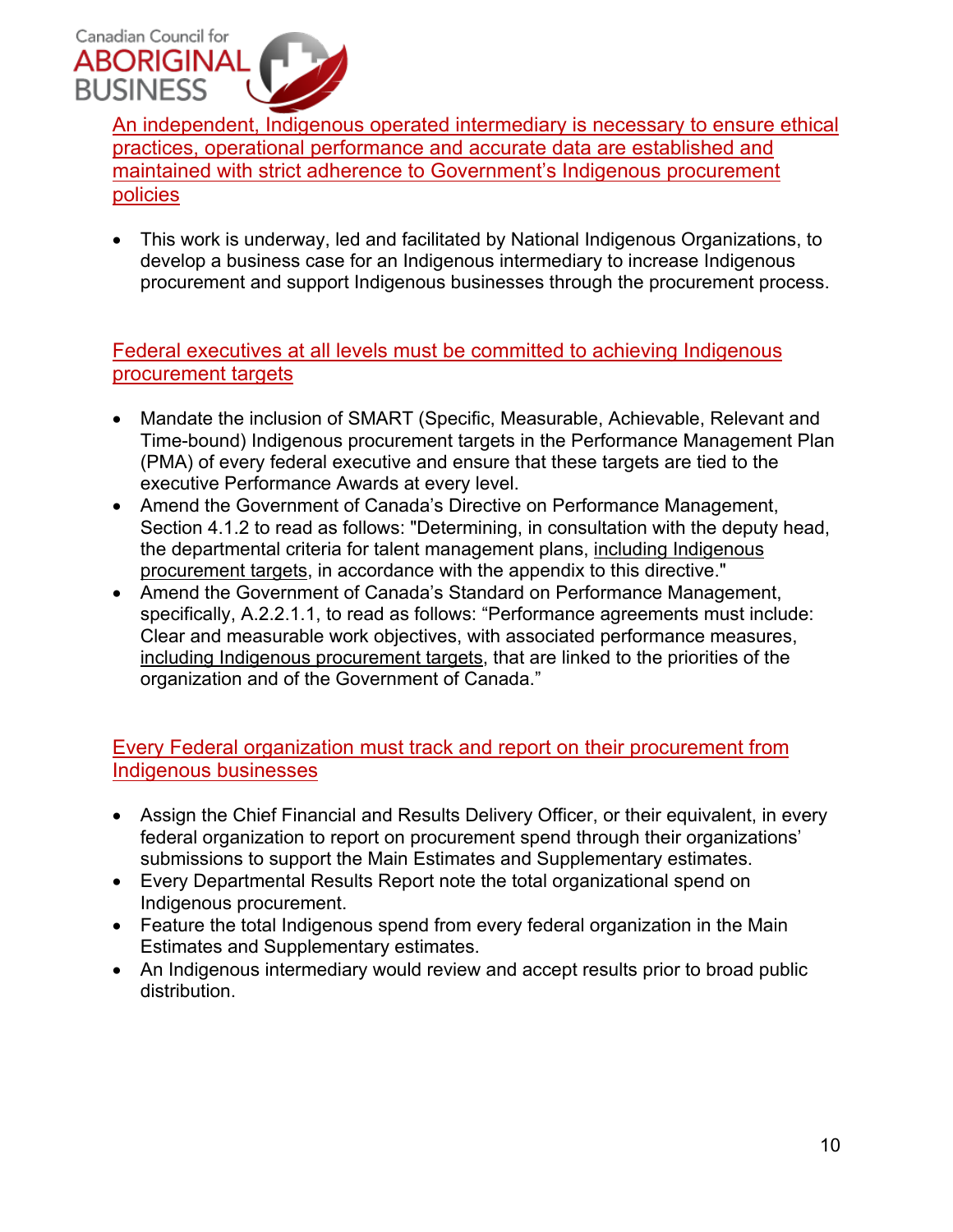

An independent, Indigenous operated intermediary is necessary to ensure ethical practices, operational performance and accurate data are established and maintained with strict adherence to Government's Indigenous procurement policies

• This work is underway, led and facilitated by National Indigenous Organizations, to develop a business case for an Indigenous intermediary to increase Indigenous procurement and support Indigenous businesses through the procurement process.

Federal executives at all levels must be committed to achieving Indigenous procurement targets

- Mandate the inclusion of SMART (Specific, Measurable, Achievable, Relevant and Time-bound) Indigenous procurement targets in the Performance Management Plan (PMA) of every federal executive and ensure that these targets are tied to the executive Performance Awards at every level.
- Amend the Government of Canada's Directive on Performance Management, Section 4.1.2 to read as follows: "Determining, in consultation with the deputy head, the departmental criteria for talent management plans, including Indigenous procurement targets, in accordance with the appendix to this directive."
- Amend the Government of Canada's Standard on Performance Management, specifically, A.2.2.1.1, to read as follows: "Performance agreements must include: Clear and measurable work objectives, with associated performance measures, including Indigenous procurement targets, that are linked to the priorities of the organization and of the Government of Canada."

Every Federal organization must track and report on their procurement from Indigenous businesses

- Assign the Chief Financial and Results Delivery Officer, or their equivalent, in every federal organization to report on procurement spend through their organizations' submissions to support the Main Estimates and Supplementary estimates.
- Every Departmental Results Report note the total organizational spend on Indigenous procurement.
- Feature the total Indigenous spend from every federal organization in the Main Estimates and Supplementary estimates.
- An Indigenous intermediary would review and accept results prior to broad public distribution.